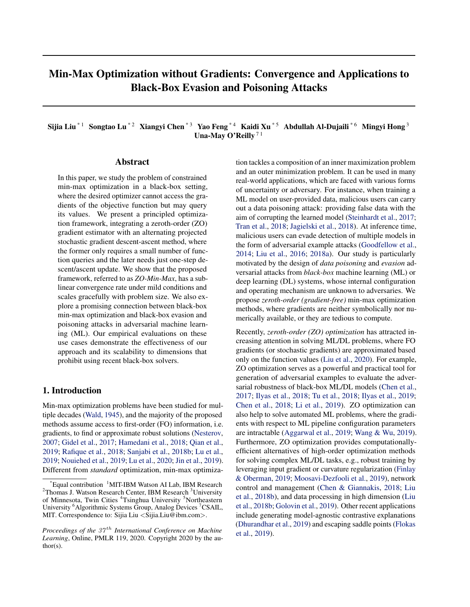# Min-Max Optimization without Gradients: Convergence and Applications to Black-Box Evasion and Poisoning Attacks

Sijia Liu<sup>\*1</sup> Songtao Lu<sup>\*2</sup> Xiangyi Chen<sup>\*3</sup> Yao Feng<sup>\*4</sup> Kaidi Xu<sup>\*5</sup> Abdullah Al-Dujaili<sup>\*6</sup> Mingyi Hong<sup>3</sup> Una-May O'Reilly<sup>71</sup>

### Abstract

In this paper, we study the problem of constrained min-max optimization in a black-box setting, where the desired optimizer cannot access the gradients of the objective function but may query its values. We present a principled optimization framework, integrating a zeroth-order (ZO) gradient estimator with an alternating projected stochastic gradient descent-ascent method, where the former only requires a small number of function queries and the later needs just one-step descent/ascent update. We show that the proposed framework, referred to as *ZO-Min-Max*, has a sublinear convergence rate under mild conditions and scales gracefully with problem size. We also explore a promising connection between black-box min-max optimization and black-box evasion and poisoning attacks in adversarial machine learning (ML). Our empirical evaluations on these use cases demonstrate the effectiveness of our approach and its scalability to dimensions that prohibit using recent black-box solvers.

## 1. Introduction

Min-max optimization problems have been studied for multiple decades [\(Wald,](#page-11-0) [1945\)](#page-11-0), and the majority of the proposed methods assume access to first-order (FO) information, i.e. gradients, to find or approximate robust solutions [\(Nesterov,](#page-10-0) [2007;](#page-10-0) [Gidel et al.,](#page-9-0) [2017;](#page-9-0) [Hamedani et al.,](#page-9-0) [2018;](#page-9-0) [Qian et al.,](#page-10-0) [2019;](#page-10-0) [Rafique et al.,](#page-10-0) [2018;](#page-10-0) [Sanjabi et al.,](#page-10-0) [2018b;](#page-10-0) [Lu et al.,](#page-10-0) [2019;](#page-10-0) [Nouiehed et al.,](#page-10-0) [2019;](#page-10-0) [Lu et al.,](#page-10-0) [2020;](#page-10-0) [Jin et al.,](#page-9-0) [2019\)](#page-9-0). Different from *standard* optimization, min-max optimization tackles a composition of an inner maximization problem and an outer minimization problem. It can be used in many real-world applications, which are faced with various forms of uncertainty or adversary. For instance, when training a ML model on user-provided data, malicious users can carry out a data poisoning attack: providing false data with the aim of corrupting the learned model [\(Steinhardt et al.,](#page-10-0) [2017;](#page-10-0) [Tran et al.,](#page-10-0) [2018;](#page-10-0) [Jagielski et al.,](#page-9-0) [2018\)](#page-9-0). At inference time, malicious users can evade detection of multiple models in the form of adversarial example attacks [\(Goodfellow et al.,](#page-9-0) [2014;](#page-9-0) [Liu et al.,](#page-10-0) [2016;](#page-10-0) [2018a\)](#page-9-0). Our study is particularly motivated by the design of *data poisoning* and *evasion* adversarial attacks from *black-box* machine learning (ML) or deep learning (DL) systems, whose internal configuration and operating mechanism are unknown to adversaries. We propose *zeroth-order (gradient-free)* min-max optimization methods, where gradients are neither symbolically nor numerically available, or they are tedious to compute.

Recently, *zeroth-order (ZO) optimization* has attracted increasing attention in solving ML/DL problems, where FO gradients (or stochastic gradients) are approximated based only on the function values [\(Liu et al.,](#page-10-0) [2020\)](#page-10-0). For example, ZO optimization serves as a powerful and practical tool for generation of adversarial examples to evaluate the adversarial robustness of black-box ML/DL models [\(Chen et al.,](#page-8-0) [2017;](#page-8-0) [Ilyas et al.,](#page-9-0) [2018;](#page-9-0) [Tu et al.,](#page-10-0) [2018;](#page-10-0) [Ilyas et al.,](#page-9-0) [2019;](#page-9-0) [Chen et al.,](#page-8-0) [2018;](#page-8-0) [Li et al.,](#page-9-0) [2019\)](#page-9-0). ZO optimization can also help to solve automated ML problems, where the gradients with respect to ML pipeline configuration parameters are intractable [\(Aggarwal et al.,](#page-8-0) [2019;](#page-8-0) [Wang & Wu,](#page-11-0) [2019\)](#page-11-0). Furthermore, ZO optimization provides computationallyefficient alternatives of high-order optimization methods for solving complex ML/DL tasks, e.g., robust training by leveraging input gradient or curvature regularization [\(Finlay](#page-9-0) [& Oberman,](#page-9-0) [2019;](#page-9-0) [Moosavi-Dezfooli et al.,](#page-10-0) [2019\)](#page-10-0), network control and management [\(Chen & Giannakis,](#page-8-0) [2018;](#page-8-0) [Liu](#page-9-0) [et al.,](#page-9-0) [2018b\)](#page-9-0), and data processing in high dimension [\(Liu](#page-9-0) [et al.,](#page-9-0) [2018b;](#page-9-0) [Golovin et al.,](#page-9-0) [2019\)](#page-9-0). Other recent applications include generating model-agnostic contrastive explanations [\(Dhurandhar et al.,](#page-9-0) [2019\)](#page-9-0) and escaping saddle points [\(Flokas](#page-9-0) [et al.,](#page-9-0) [2019\)](#page-9-0).

 $E$ <sup>\*</sup>Equal contribution <sup>1</sup>MIT-IBM Watson AI Lab, IBM Research <sup>2</sup>Thomas J. Watson Research Center, IBM Research <sup>3</sup>University of Minnesota, Twin Cities <sup>4</sup>Tsinghua University <sup>5</sup>Northeastern University <sup>6</sup>Algorithmic Systems Group, Analog Devices <sup>7</sup>CSAIL, MIT. Correspondence to: Sijia Liu <Sijia.Liu@ibm.com>.

*Proceedings of the 37<sup>th</sup> International Conference on Machine Learning*, Online, PMLR 119, 2020. Copyright 2020 by the author(s).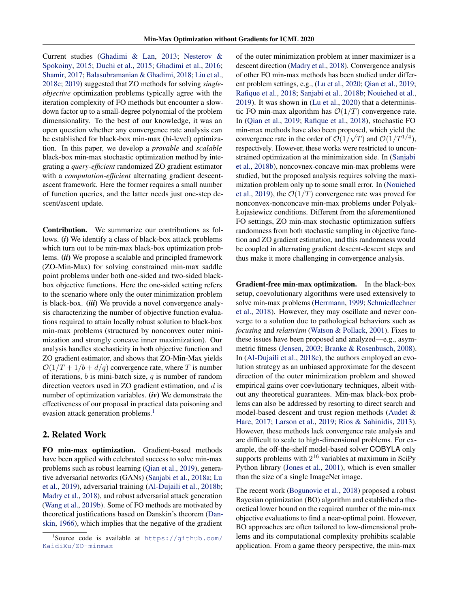Current studies [\(Ghadimi & Lan,](#page-9-0) [2013;](#page-9-0) [Nesterov &](#page-10-0) [Spokoiny,](#page-10-0) [2015;](#page-10-0) [Duchi et al.,](#page-9-0) [2015;](#page-9-0) [Ghadimi et al.,](#page-9-0) [2016;](#page-9-0) [Shamir,](#page-10-0) [2017;](#page-10-0) [Balasubramanian & Ghadimi,](#page-8-0) [2018;](#page-8-0) [Liu et al.,](#page-10-0) [2018c;](#page-10-0) [2019\)](#page-10-0) suggested that ZO methods for solving *singleobjective* optimization problems typically agree with the iteration complexity of FO methods but encounter a slowdown factor up to a small-degree polynomial of the problem dimensionality. To the best of our knowledge, it was an open question whether any convergence rate analysis can be established for black-box min-max (bi-level) optimization. In this paper, we develop a *provable* and *scalable* black-box min-max stochastic optimization method by integrating a *query-efficient* randomized ZO gradient estimator with a *computation-efficient* alternating gradient descentascent framework. Here the former requires a small number of function queries, and the latter needs just one-step descent/ascent update.

Contribution. We summarize our contributions as follows. (*i*) We identify a class of black-box attack problems which turn out to be min-max black-box optimization problems. (*ii*) We propose a scalable and principled framework (ZO-Min-Max) for solving constrained min-max saddle point problems under both one-sided and two-sided blackbox objective functions. Here the one-sided setting refers to the scenario where only the outer minimization problem is black-box. (*iii*) We provide a novel convergence analysis characterizing the number of objective function evaluations required to attain locally robust solution to black-box min-max problems (structured by nonconvex outer minimization and strongly concave inner maximization). Our analysis handles stochasticity in both objective function and ZO gradient estimator, and shows that ZO-Min-Max yields  $\mathcal{O}(1/T + 1/b + d/q)$  convergence rate, where T is number of iterations,  $b$  is mini-batch size,  $q$  is number of random direction vectors used in ZO gradient estimation, and  $d$  is number of optimization variables. (*iv*) We demonstrate the effectiveness of our proposal in practical data poisoning and evasion attack generation problems.<sup>1</sup>

### 2. Related Work

FO min-max optimization. Gradient-based methods have been applied with celebrated success to solve min-max problems such as robust learning [\(Qian et al.,](#page-10-0) [2019\)](#page-10-0), generative adversarial networks (GANs) [\(Sanjabi et al.,](#page-10-0) [2018a;](#page-10-0) [Lu](#page-10-0) [et al.,](#page-10-0) [2019\)](#page-10-0), adversarial training [\(Al-Dujaili et al.,](#page-8-0) [2018b;](#page-8-0) [Madry et al.,](#page-10-0) [2018\)](#page-10-0), and robust adversarial attack generation [\(Wang et al.,](#page-11-0) [2019b\)](#page-11-0). Some of FO methods are motivated by theoretical justifications based on Danskin's theorem [\(Dan](#page-8-0)[skin,](#page-8-0) [1966\)](#page-8-0), which implies that the negative of the gradient

of the outer minimization problem at inner maximizer is a descent direction [\(Madry et al.,](#page-10-0) [2018\)](#page-10-0). Convergence analysis of other FO min-max methods has been studied under different problem settings, e.g., [\(Lu et al.,](#page-10-0) [2020;](#page-10-0) [Qian et al.,](#page-10-0) [2019;](#page-10-0) [Rafique et al.,](#page-10-0) [2018;](#page-10-0) [Sanjabi et al.,](#page-10-0) [2018b;](#page-10-0) [Nouiehed et al.,](#page-10-0) [2019\)](#page-10-0). It was shown in [\(Lu et al.,](#page-10-0) [2020\)](#page-10-0) that a deterministic FO min-max algorithm has  $\mathcal{O}(1/T)$  convergence rate. In [\(Qian et al.,](#page-10-0) [2019;](#page-10-0) [Rafique et al.,](#page-10-0) [2018\)](#page-10-0), stochastic FO min-max methods have also been proposed, which yield the convergence rate in the order of  $\mathcal{O}(1/\sqrt{T})$  and  $\mathcal{O}(1/T^{1/4})$ , respectively. However, these works were restricted to unconstrained optimization at the minimization side. In [\(Sanjabi](#page-10-0) [et al.,](#page-10-0) [2018b\)](#page-10-0), noncovnex-concave min-max problems were studied, but the proposed analysis requires solving the maximization problem only up to some small error. In [\(Nouiehed](#page-10-0) [et al.,](#page-10-0) [2019\)](#page-10-0), the  $\mathcal{O}(1/T)$  convergence rate was proved for nonconvex-nonconcave min-max problems under Polyak-Łojasiewicz conditions. Different from the aforementioned FO settings, ZO min-max stochastic optimization suffers randomness from both stochastic sampling in objective function and ZO gradient estimation, and this randomness would be coupled in alternating gradient descent-descent steps and thus make it more challenging in convergence analysis.

Gradient-free min-max optimization. In the black-box setup, coevolutionary algorithms were used extensively to solve min-max problems [\(Herrmann,](#page-9-0) [1999;](#page-9-0) [Schmiedlechner](#page-10-0) [et al.,](#page-10-0) [2018\)](#page-10-0). However, they may oscillate and never converge to a solution due to pathological behaviors such as *focusing* and *relativism* [\(Watson & Pollack,](#page-11-0) [2001\)](#page-11-0). Fixes to these issues have been proposed and analyzed—e.g., asymmetric fitness [\(Jensen,](#page-9-0) [2003;](#page-9-0) [Branke & Rosenbusch,](#page-8-0) [2008\)](#page-8-0). In [\(Al-Dujaili et al.,](#page-8-0) [2018c\)](#page-8-0), the authors employed an evolution strategy as an unbiased approximate for the descent direction of the outer minimization problem and showed empirical gains over coevlutionary techniques, albeit without any theoretical guarantees. Min-max black-box problems can also be addressed by resorting to direct search and model-based descent and trust region methods [\(Audet &](#page-8-0) [Hare,](#page-8-0) [2017;](#page-8-0) [Larson et al.,](#page-9-0) [2019;](#page-9-0) [Rios & Sahinidis,](#page-10-0) [2013\)](#page-10-0). However, these methods lack convergence rate analysis and are difficult to scale to high-dimensional problems. For example, the off-the-shelf model-based solver COBYLA only supports problems with  $2^{16}$  variables at maximum in SciPy Python library [\(Jones et al.,](#page-9-0) [2001\)](#page-9-0), which is even smaller than the size of a single ImageNet image.

The recent work [\(Bogunovic et al.,](#page-8-0) [2018\)](#page-8-0) proposed a robust Bayesian optimization (BO) algorithm and established a theoretical lower bound on the required number of the min-max objective evaluations to find a near-optimal point. However, BO approaches are often tailored to low-dimensional problems and its computational complexity prohibits scalable application. From a game theory perspective, the min-max

<sup>1</sup> Source code is available at [https://github.com/](https://github.com/KaidiXu/ZO-minmax) [KaidiXu/ZO-minmax](https://github.com/KaidiXu/ZO-minmax)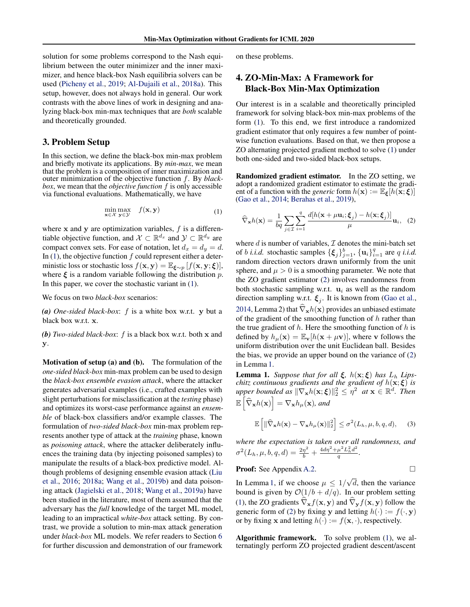<span id="page-2-0"></span>solution for some problems correspond to the Nash equilibrium between the outer minimizer and the inner maximizer, and hence black-box Nash equilibria solvers can be used [\(Picheny et al.,](#page-10-0) [2019;](#page-10-0) [Al-Dujaili et al.,](#page-8-0) [2018a\)](#page-8-0). This setup, however, does not always hold in general. Our work contrasts with the above lines of work in designing and analyzing black-box min-max techniques that are *both* scalable and theoretically grounded.

#### 3. Problem Setup

In this section, we define the black-box min-max problem and briefly motivate its applications. By *min-max*, we mean that the problem is a composition of inner maximization and outer minimization of the objective function f. By *blackbox*, we mean that the *objective function* f is only accessible via functional evaluations. Mathematically, we have

$$
\min_{\mathbf{x} \in \mathcal{X}} \max_{\mathbf{y} \in \mathcal{Y}} f(\mathbf{x}, \mathbf{y}) \tag{1}
$$

where  $x$  and  $y$  are optimization variables,  $f$  is a differentiable objective function, and  $\mathcal{X} \subset \mathbb{R}^{d_x}$  and  $\mathcal{Y} \subset \mathbb{R}^{d_y}$  are compact convex sets. For ease of notation, let  $d_x = d_y = d$ . In  $(1)$ , the objective function  $f$  could represent either a deterministic loss or stochastic loss  $f(\mathbf{x}, \mathbf{y}) = \mathbb{E}_{\boldsymbol{\xi} \sim p} [f(\mathbf{x}, \mathbf{y}; \boldsymbol{\xi})],$ where  $\xi$  is a random variable following the distribution p. In this paper, we cover the stochastic variant in (1).

We focus on two *black-box* scenarios:

*(a) One-sided black-box*: f is a white box w.r.t. y but a black box w.r.t. x.

*(b) Two-sided black-box*: f is a black box w.r.t. both x and y.

Motivation of setup (a) and (b). The formulation of the *one-sided black-box* min-max problem can be used to design the *black-box ensemble evasion attack*, where the attacker generates adversarial examples (i.e., crafted examples with slight perturbations for misclassification at the *testing* phase) and optimizes its worst-case performance against an *ensemble* of black-box classifiers and/or example classes. The formulation of *two-sided black-box* min-max problem represents another type of attack at the *training* phase, known as *poisoning attack*, where the attacker deliberately influences the training data (by injecting poisoned samples) to manipulate the results of a black-box predictive model. Although problems of designing ensemble evasion attack [\(Liu](#page-10-0) [et al.,](#page-10-0) [2016;](#page-10-0) [2018a;](#page-9-0) [Wang et al.,](#page-11-0) [2019b\)](#page-11-0) and data poisoning attack [\(Jagielski et al.,](#page-9-0) [2018;](#page-9-0) [Wang et al.,](#page-11-0) [2019a\)](#page-11-0) have been studied in the literature, most of them assumed that the adversary has the *full* knowledge of the target ML model, leading to an impractical *white-box* attack setting. By contrast, we provide a solution to min-max attack generation under *black-box* ML models. We refer readers to Section [6](#page-6-0) for further discussion and demonstration of our framework

on these problems.

## 4. ZO-Min-Max: A Framework for Black-Box Min-Max Optimization

Our interest is in a scalable and theoretically principled framework for solving black-box min-max problems of the form (1). To this end, we first introduce a randomized gradient estimator that only requires a few number of pointwise function evaluations. Based on that, we then propose a ZO alternating projected gradient method to solve (1) under both one-sided and two-sided black-box setups.

Randomized gradient estimator. In the ZO setting, we adopt a randomized gradient estimator to estimate the gradient of a function with the *generic* form  $h(\mathbf{x}) := \mathbb{E}_{\xi}[h(\mathbf{x}; \xi)]$ [\(Gao et al.,](#page-9-0) [2014;](#page-9-0) [Berahas et al.,](#page-8-0) [2019\)](#page-8-0),

$$
\widehat{\nabla}_{\mathbf{x}}h(\mathbf{x}) = \frac{1}{bq} \sum_{j \in \mathcal{I}} \sum_{i=1}^{q} \frac{d[h(\mathbf{x} + \mu \mathbf{u}_i; \boldsymbol{\xi}_j) - h(\mathbf{x}; \boldsymbol{\xi}_j)]}{\mu} \mathbf{u}_i, \quad (2)
$$

where  $d$  is number of variables,  $\mathcal I$  denotes the mini-batch set of *b i.i.d.* stochastic samples  $\{\xi_j\}_{j=1}^b$ ,  $\{\mathbf{u}_i\}_{i=1}^q$  are q *i.i.d.* random direction vectors drawn uniformly from the unit sphere, and  $\mu > 0$  is a smoothing parameter. We note that the ZO gradient estimator (2) involves randomness from both stochastic sampling w.r.t.  $\mathbf{u}_i$  as well as the random direction sampling w.r.t.  $\xi_j$ . It is known from [\(Gao et al.,](#page-9-0) [2014,](#page-9-0) Lemma 2) that  $\hat{\nabla}_{\bf x}h({\bf x})$  provides an unbiased estimate of the gradient of the smoothing function of  $h$  rather than the true gradient of  $h$ . Here the smoothing function of  $h$  is defined by  $h_{\mu}(\mathbf{x}) = \mathbb{E}_{\mathbf{v}}[h(\mathbf{x} + \mu \mathbf{v})]$ , where v follows the uniform distribution over the unit Euclidean ball. Besides the bias, we provide an upper bound on the variance of (2) in Lemma 1.

**Lemma 1.** *Suppose that for all*  $\xi$ ,  $h(x;\xi)$  *has*  $L_h$  *Lipschitz continuous gradients and the gradient of*  $h(\mathbf{x}; \boldsymbol{\xi})$  *is*  $\| \nabla_{\mathbf{x}} h(\mathbf{x}; \boldsymbol{\xi}) \|_2^2 \leq \eta^2 \ \textit{ at } \mathbf{x} \in \mathbb{R}^d.$  Then  $\mathbb{E}\left[\widehat{\nabla}_{\mathbf{x}}h(\mathbf{x})\right]=\nabla_{\mathbf{x}}h_{\mu}(\mathbf{x}),$  and

$$
\mathbb{E}\left[\|\widehat{\nabla}_{\mathbf{x}}h(\mathbf{x}) - \nabla_{\mathbf{x}}h_{\mu}(\mathbf{x})\|_{2}^{2}\right] \leq \sigma^{2}(L_{h}, \mu, b, q, d), \quad (3)
$$

*where the expectation is taken over all randomness, and*  $\sigma^2(L_h, \mu, b, q, d) = \frac{2\eta^2}{b} + \frac{4d\eta^2 + \mu^2L_h^2d^2}{q}$  $\frac{\mu}{q}$   $\frac{L_h a}{L_h}$ .

**Proof:** See Appendix A.2. 
$$
\Box
$$

In Lemma 1, if we choose  $\mu \leq 1/$ √ d, then the variance bound is given by  $O(1/b + d/q)$ . In our problem setting (1), the ZO gradients  $\hat{\nabla}_{\mathbf{x}} f(\mathbf{x}, \mathbf{y})$  and  $\hat{\nabla}_{\mathbf{y}} f(\mathbf{x}, \mathbf{y})$  follow the generic form of (2) by fixing y and letting  $h(\cdot) := f(\cdot, \mathbf{y})$ or by fixing **x** and letting  $h(\cdot) := f(\mathbf{x}, \cdot)$ , respectively.

Algorithmic framework. To solve problem (1), we alternatingly perform ZO projected gradient descent/ascent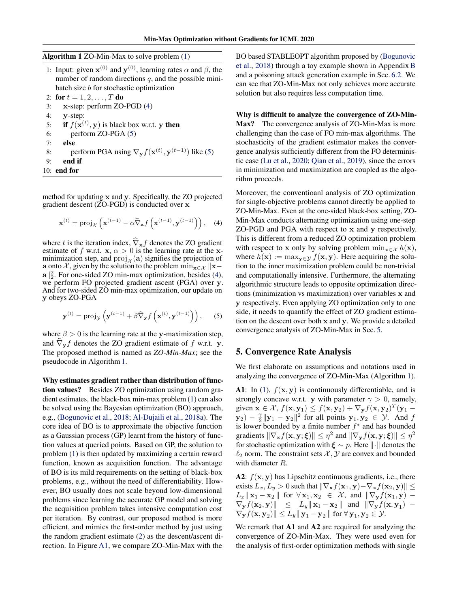<span id="page-3-0"></span>Algorithm 1 ZO-Min-Max to solve problem [\(1\)](#page-2-0)

|    | 1: Input: given $\mathbf{x}^{(0)}$ and $\mathbf{y}^{(0)}$ , learning rates $\alpha$ and $\beta$ , the |
|----|-------------------------------------------------------------------------------------------------------|
|    | number of random directions $q$ , and the possible mini-                                              |
|    | batch size $b$ for stochastic optimization                                                            |
|    | 2: for $t = 1, 2, , T$ do                                                                             |
| 3: | $x$ -step: perform ZO-PGD $(4)$                                                                       |

- 4: y-step:
- 5: if  $f(\mathbf{x}^{(t)}, \mathbf{y})$  is black box w.r.t. y then
- 6: perform ZO-PGA (5)
- 7: else
- 8: perform PGA using  $\nabla_{\mathbf{y}} f(\mathbf{x}^{(t)}, \mathbf{y}^{(t-1)})$  like (5)
- 9: end if
- 10: end for

method for updating x and y. Specifically, the ZO projected gradient descent (ZO-PGD) is conducted over x

$$
\mathbf{x}^{(t)} = \text{proj}_{\mathcal{X}}\left(\mathbf{x}^{(t-1)} - \alpha \widehat{\nabla}_{\mathbf{x}} f\left(\mathbf{x}^{(t-1)}, \mathbf{y}^{(t-1)}\right)\right), \quad (4)
$$

where t is the iteration index,  $\hat{\nabla}_{\mathbf{x}} f$  denotes the ZO gradient estimate of f w.r.t.  $x, \alpha > 0$  is the learning rate at the xminimization step, and  $proj_{\mathcal{X}}(\mathbf{a})$  signifies the projection of a onto X, given by the solution to the problem  $\min_{\mathbf{x} \in \mathcal{X}} ||\mathbf{x}-\mathbf{x}||$  $\mathbf{a} \parallel_2^2$ . For one-sided ZO min-max optimization, besides (4), we perform FO projected gradient ascent (PGA) over y. And for two-sided ZO min-max optimization, our update on y obeys ZO-PGA

$$
\mathbf{y}^{(t)} = \text{proj}_{\mathcal{Y}}\left(\mathbf{y}^{(t-1)} + \beta \widehat{\nabla}_{\mathbf{y}} f\left(\mathbf{x}^{(t)}, \mathbf{y}^{(t-1)}\right)\right),\qquad(5)
$$

where  $\beta > 0$  is the learning rate at the y-maximization step, and  $\nabla_{\mathbf{y}} f$  denotes the ZO gradient estimate of f w.r.t. y. The proposed method is named as *ZO-Min-Max*; see the pseudocode in Algorithm 1.

Why estimates gradient rather than distribution of function values? Besides ZO optimization using random gradient estimates, the black-box min-max problem [\(1\)](#page-2-0) can also be solved using the Bayesian optimization (BO) approach, e.g., [\(Bogunovic et al.,](#page-8-0) [2018;](#page-8-0) [Al-Dujaili et al.,](#page-8-0) [2018a\)](#page-8-0). The core idea of BO is to approximate the objective function as a Gaussian process (GP) learnt from the history of function values at queried points. Based on GP, the solution to problem [\(1\)](#page-2-0) is then updated by maximizing a certain reward function, known as acquisition function. The advantage of BO is its mild requirements on the setting of black-box problems, e.g., without the need of differentiability. However, BO usually does not scale beyond low-dimensional problems since learning the accurate GP model and solving the acquisition problem takes intensive computation cost per iteration. By contrast, our proposed method is more efficient, and mimics the first-order method by just using the random gradient estimate [\(2\)](#page-2-0) as the descent/ascent direction. In Figure A1, we compare ZO-Min-Max with the

BO based STABLEOPT algorithm proposed by [\(Bogunovic](#page-8-0) [et al.,](#page-8-0) [2018\)](#page-8-0) through a toy example shown in AppendixB and a poisoning attack generation example in Sec. [6.2.](#page-7-0) We can see that ZO-Min-Max not only achieves more accurate solution but also requires less computation time.

Why is difficult to analyze the convergence of ZO-Min-Max? The convergence analysis of ZO-Min-Max is more challenging than the case of FO min-max algorithms. The stochasticity of the gradient estimator makes the convergence analysis sufficiently different from the FO deterministic case [\(Lu et al.,](#page-10-0) [2020;](#page-10-0) [Qian et al.,](#page-10-0) [2019\)](#page-10-0), since the errors in minimization and maximization are coupled as the algorithm proceeds.

Moreover, the conventioanl analysis of ZO optimization for single-objective problems cannot directly be applied to ZO-Min-Max. Even at the one-sided black-box setting, ZO-Min-Max conducts alternating optimization using one-step ZO-PGD and PGA with respect to x and y respectively. This is different from a reduced ZO optimization problem with respect to x only by solving problem  $\min_{\mathbf{x} \in \mathcal{X}} h(\mathbf{x}),$ where  $h(\mathbf{x}) := \max_{\mathbf{y} \in \mathcal{Y}} f(\mathbf{x}, \mathbf{y})$ . Here acquiring the solution to the inner maximization problem could be non-trivial and computationally intensive. Furthermore, the alternating algorithmic structure leads to opposite optimization directions (minimization vs maximization) over variables x and y respectively. Even applying ZO optimization only to one side, it needs to quantify the effect of ZO gradient estimation on the descent over both x and y. We provide a detailed convergence analysis of ZO-Min-Max in Sec. 5.

#### 5. Convergence Rate Analysis

We first elaborate on assumptions and notations used in analyzing the convergence of ZO-Min-Max (Algorithm 1).

A1: In [\(1\)](#page-2-0),  $f(\mathbf{x}, \mathbf{y})$  is continuously differentiable, and is strongly concave w.r.t. y with parameter  $\gamma > 0$ , namely, given  $\mathbf{x} \in \mathcal{X}$ ,  $f(\mathbf{x}, \mathbf{y}_1) \leq f(\mathbf{x}, \mathbf{y}_2) + \nabla_{\mathbf{y}} f(\mathbf{x}, \mathbf{y}_2)^T (\mathbf{y}_1 - \mathbf{y}_2)$  $(y_2) - \frac{\gamma}{2} ||y_1 - y_2||^2$  for all points  $y_1, y_2 \in \mathcal{Y}$ . And f is lower bounded by a finite number  $f^*$  and has bounded gradients  $\|\nabla_{\mathbf{x}}f(\mathbf{x}, \mathbf{y}; \boldsymbol{\xi})\| \leq \eta^2$  and  $\|\nabla_{\mathbf{y}}f(\mathbf{x}, \mathbf{y}; \boldsymbol{\xi})\| \leq \eta^2$ for stochastic optimization with  $\xi \sim p$ . Here  $\|\cdot\|$  denotes the  $\ell_2$  norm. The constraint sets  $\mathcal{X}, \mathcal{Y}$  are convex and bounded with diameter R.

A2:  $f(\mathbf{x}, \mathbf{y})$  has Lipschitz continuous gradients, i.e., there exists  $L_x, L_y > 0$  such that  $\|\nabla_{\mathbf{x}}f(\mathbf{x}_1, \mathbf{y}) - \nabla_{\mathbf{x}}f(\mathbf{x}_2, \mathbf{y})\| \leq$  $L_x \parallel \mathbf{x}_1 - \mathbf{x}_2 \parallel$  for  $\forall \mathbf{x}_1, \mathbf{x}_2 \in \mathcal{X}$ , and  $\parallel \nabla_{\mathbf{y}} f(\mathbf{x}_1, \mathbf{y})$  –  $\nabla_{\mathbf{y}} f(\mathbf{x}_2, \mathbf{y})$   $\|\leq L_y \|\mathbf{x}_1 - \mathbf{x}_2\|$  and  $\|\nabla_{\mathbf{y}} f(\mathbf{x}, \mathbf{y}_1)$  - $\|\nabla_{\mathbf{y}}f(\mathbf{x},\mathbf{y}_2)\| \leq L_y \|\mathbf{y}_1 - \mathbf{y}_2\| \text{ for } \forall \mathbf{y}_1, \mathbf{y}_2 \in \mathcal{Y}.$ 

We remark that A1 and A2 are required for analyzing the convergence of ZO-Min-Max. They were used even for the analysis of first-order optimization methods with single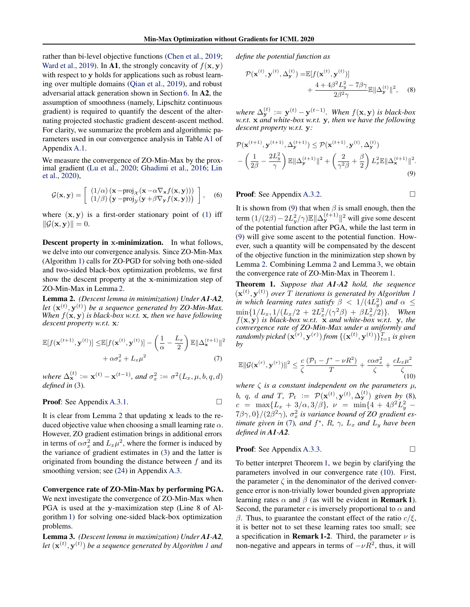<span id="page-4-0"></span>rather than bi-level objective functions [\(Chen et al.,](#page-8-0) [2019;](#page-8-0) [Ward et al.,](#page-11-0) [2019\)](#page-11-0). In A1, the strongly concavity of  $f(\mathbf{x}, \mathbf{y})$ with respect to y holds for applications such as robust learning over multiple domains [\(Qian et al.,](#page-10-0) [2019\)](#page-10-0), and robust adversarial attack generation shown in Section [6.](#page-6-0) In A2, the assumption of smoothness (namely, Lipschitz continuous gradient) is required to quantify the descent of the alternating projected stochastic gradient descent-ascent method. For clarity, we summarize the problem and algorithmic parameters used in our convergence analysis in Table A1 of Appendix A.1.

We measure the convergence of ZO-Min-Max by the proximal gradient [\(Lu et al.,](#page-10-0) [2020;](#page-10-0) [Ghadimi et al.,](#page-9-0) [2016;](#page-9-0) [Lin](#page-9-0) [et al.,](#page-9-0) [2020\)](#page-9-0),

$$
\mathcal{G}(\mathbf{x}, \mathbf{y}) = \left[ \begin{array}{c} (1/\alpha) \left( \mathbf{x} - \text{proj}_{\mathcal{X}} (\mathbf{x} - \alpha \nabla_{\mathbf{x}} f(\mathbf{x}, \mathbf{y})) \right) \\ (1/\beta) \left( \mathbf{y} - \text{proj}_{\mathcal{Y}} (\mathbf{y} + \beta \nabla_{\mathbf{y}} f(\mathbf{x}, \mathbf{y})) \right) \end{array} \right], \quad (6)
$$

where  $(x, y)$  is a first-order stationary point of [\(1\)](#page-2-0) iff  $\|\mathcal{G}(\mathbf{x}, \mathbf{y})\| = 0.$ 

Descent property in x-minimization. In what follows, we delve into our convergence analysis. Since ZO-Min-Max (Algorithm [1\)](#page-3-0) calls for ZO-PGD for solving both one-sided and two-sided black-box optimization problems, we first show the descent property at the x-minimization step of ZO-Min-Max in Lemma 2.

Lemma 2. *(Descent lemma in minimization) Under A1-A2,* let  $(\mathbf{x}^{(t)}, \mathbf{y}^{(t)})$  be a sequence generated by ZO-Min-Max. *When*  $f(\mathbf{x}, \mathbf{y})$  *is black-box w.r.t.* **x***, then we have following descent property w.r.t.* x*:*

$$
\mathbb{E}[f(\mathbf{x}^{(t+1)}, \mathbf{y}^{(t)})] \leq \mathbb{E}[f(\mathbf{x}^{(t)}, \mathbf{y}^{(t)})] - \left(\frac{1}{\alpha} - \frac{L_x}{2}\right) \mathbb{E} \|\Delta_{\mathbf{x}}^{(t+1)}\|^2
$$

$$
+ \alpha \sigma_x^2 + L_x \mu^2
$$
(7)

where  $\Delta_{\mathbf{x}}^{(t)} := \mathbf{x}^{(t)} - \mathbf{x}^{(t-1)}$ , and  $\sigma_x^2 := \sigma^2(L_x, \mu, b, q, d)$ *defined in* [\(3\)](#page-2-0)*.*

**Proof:** See Appendix A.3.1. 
$$
\Box
$$

It is clear from Lemma 2 that updating x leads to the reduced objective value when choosing a small learning rate  $\alpha$ . However, ZO gradient estimation brings in additional errors in terms of  $\alpha \sigma_x^2$  and  $L_x \mu^2$ , where the former is induced by the variance of gradient estimates in [\(3\)](#page-2-0) and the latter is originated from bounding the distance between  $f$  and its smoothing version; see (24) in Appendix A.3.

Convergence rate of ZO-Min-Max by performing PGA. We next investigate the convergence of ZO-Min-Max when PGA is used at the y-maximization step (Line 8 of Algorithm [1\)](#page-3-0) for solving one-sided black-box optimization problems.

Lemma 3. *(Descent lemma in maximization) Under A1-A2,* let  $(\mathbf{x}^{(t)}, \mathbf{y}^{(t)})$  be a sequence generated by Algorithm [1](#page-3-0) and

*define the potential function as*

$$
\mathcal{P}(\mathbf{x}^{(t)}, \mathbf{y}^{(t)}, \Delta_{\mathbf{y}}^{(t)}) = \mathbb{E}[f(\mathbf{x}^{(t)}, \mathbf{y}^{(t)})] + \frac{4 + 4\beta^2 L_y^2 - 7\beta\gamma}{2\beta^2 \gamma} \mathbb{E} \|\Delta_{\mathbf{y}}^{(t)}\|^2, \quad (8)
$$

where  $\Delta_{\mathbf{y}}^{(t)} := \mathbf{y}^{(t)} - \mathbf{y}^{(t-1)}$ . When  $f(\mathbf{x}, \mathbf{y})$  is black-box *w.r.t.* x *and white-box w.r.t.* y*, then we have the following descent property w.r.t.* y*:*

$$
\mathcal{P}(\mathbf{x}^{(t+1)}, \mathbf{y}^{(t+1)}, \Delta_{\mathbf{y}}^{(t+1)}) \leq \mathcal{P}(\mathbf{x}^{(t+1)}, \mathbf{y}^{(t)}, \Delta_{\mathbf{y}}^{(t)}) \n- \left(\frac{1}{2\beta} - \frac{2L_y^2}{\gamma}\right) \mathbb{E} \|\Delta_{\mathbf{y}}^{(t+1)}\|^2 + \left(\frac{2}{\gamma^2 \beta} + \frac{\beta}{2}\right) L_x^2 \mathbb{E} \|\Delta_{\mathbf{x}}^{(t+1)}\|^2.
$$
\n(9)

**Proof:** See Appendix A.3.2. □

It is shown from (9) that when  $\beta$  is small enough, then the term  $(1/(2\beta) - 2L_y^2/\gamma)\mathbb{E} \|\Delta_{\mathbf{y}}^{(t+1)}\|^2$  will give some descent of the potential function after PGA, while the last term in (9) will give some ascent to the potential function. However, such a quantity will be compensated by the descent of the objective function in the minimization step shown by Lemma 2. Combining Lemma 2 and Lemma 3, we obtain the convergence rate of ZO-Min-Max in Theorem 1.

Theorem 1. *Suppose that A1-A2 hold, the sequence*  $(\mathbf{x}^{(t)}, \mathbf{y}^{(t)})$  over T iterations is generated by Algorithm [1](#page-3-0) *in which learning rates satisfy*  $\beta$  <  $1/(4L_y^2)$  *and*  $\alpha$   $\leq$  $\min\{1/L_x, 1/(L_x/2 + 2L_x^2/(\gamma^2\beta) + \beta L_x^2/2)\}\.$  When f(x, y) *is black-box w.r.t.* x *and white-box w.r.t.* y*, the convergence rate of ZO-Min-Max under a uniformly and*  $\mathit{randomly picked}(\mathbf{x}^{(r)}, \mathbf{y}^{(r)})$  from  $\{(\mathbf{x}^{(t)}, \mathbf{y}^{(t)})\}_{t=1}^T$  is given *by*

$$
\mathbb{E}\|\mathcal{G}(\mathbf{x}^{(r)}, \mathbf{y}^{(r)})\|^2 \le \frac{c}{\zeta} \frac{(\mathcal{P}_1 - f^* - \nu R^2)}{T} + \frac{c\alpha \sigma_x^2}{\zeta} + \frac{cL_x\mu^2}{\zeta}
$$
(10)

*where*  $\zeta$  *is a constant independent on the parameters*  $\mu$ *,* b, q, d and T,  $\mathcal{P}_t := \mathcal{P}(\mathbf{x}^{(t)}, \mathbf{y}^{(t)}, \Delta_{\mathbf{y}}^{(t)})$  given by (8),  $c = \max\{L_x + 3/\alpha, 3/\beta\}, \nu = \min\{4 + 4\beta^2 L_y^2 (7\beta\gamma,0)/(2\beta^2\gamma)$ ,  $\sigma_x^2$  is variance bound of ZO gradient es*timate given in* (7), and  $f^*$ , R,  $\gamma$ ,  $L_x$  and  $L_y$  have been *defined in A1-A2.*

**Proof:** See Appendix A.3.3. 
$$
\Box
$$

To better interpret Theorem 1, we begin by clarifying the parameters involved in our convergence rate (10). First, the parameter  $\zeta$  in the denominator of the derived convergence error is non-trivially lower bounded given appropriate learning rates  $\alpha$  and  $\beta$  (as will be evident in **Remark 1**). Second, the parameter c is inversely proportional to  $\alpha$  and β. Thus, to guarantee the constant effect of the ratio  $c/\xi$ , it is better not to set these learning rates too small; see a specification in **Remark 1-2**. Third, the parameter  $\nu$  is non-negative and appears in terms of  $-\nu R^2$ , thus, it will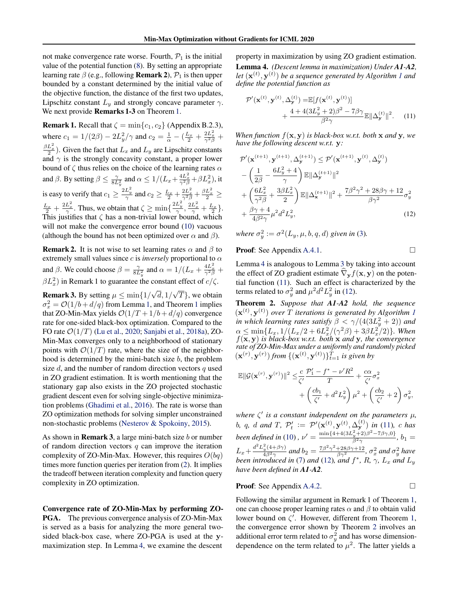<span id="page-5-0"></span>not make convergence rate worse. Fourth,  $P_1$  is the initial value of the potential function [\(8\)](#page-4-0). By setting an appropriate learning rate  $\beta$  (e.g., following **Remark 2**),  $\mathcal{P}_1$  is then upper bounded by a constant determined by the initial value of the objective function, the distance of the first two updates, Lipschitz constant  $L_y$  and strongly concave parameter  $\gamma$ . We next provide **Remarks 1-3** on Theorem [1.](#page-4-0)

**Remark 1.** Recall that  $\zeta = \min\{c_1, c_2\}$  (Appendix B.2.3), where  $c_1 = 1/(2\beta) - 2L_y^2/\gamma$  and  $c_2 = \frac{1}{\alpha} - (\frac{L_x}{2} + \frac{2L_x^2}{\gamma^2 \beta} + \frac{2L_y^2}{\gamma^2 \beta})$  $\frac{\beta L_x^2}{2}$ ). Given the fact that  $L_x$  and  $L_y$  are Lipschitz constants and  $\gamma$  is the strongly concavity constant, a proper lower bound of  $\zeta$  thus relies on the choice of the learning rates  $\alpha$ and  $\beta$ . By setting  $\beta \le \frac{\gamma}{8L_y^2}$  and  $\alpha \le 1/(L_x + \frac{4L_x^2}{\gamma^2 \beta} + \beta L_x^2)$ , it is easy to verify that  $c_1 \ge \frac{2L_y^2}{\gamma}$  and  $c_2 \ge \frac{L_x}{2} + \frac{2L_x^2}{\gamma^2 \beta} + \frac{\beta L_x^2}{2} \ge$  $\frac{L_x}{2} + \frac{2L_x^2}{\gamma}$ . Thus, we obtain that  $\zeta \ge \min\{\frac{2L_y^2}{\gamma}, \frac{2L_x^2}{\gamma} + \frac{L_x}{2}\}.$ This justifies that  $\zeta$  has a non-trivial lower bound, which will not make the convergence error bound [\(10\)](#page-4-0) vacuous (although the bound has not been optimized over  $\alpha$  and  $\beta$ ).

**Remark 2.** It is not wise to set learning rates  $\alpha$  and  $\beta$  to extremely small values since  $c$  is *inversely* proportional to  $\alpha$ and  $\beta$ . We could choose  $\beta = \frac{\gamma}{8L_y^2}$  and  $\alpha = 1/(L_x + \frac{4L_x^2}{\gamma^2 \beta} + \frac{L_x^2}{\gamma^2 \beta})$  $\beta L_x^2$ ) in Remark 1 to guarantee the constant effect of  $c/\zeta$ .

**Remark 3.** By setting  $\mu \le \min\{1/\}$ √  $\left|d,1\right/$ √  $T$ , we obtain  $\sigma_x^2 = \mathcal{O}(1/b + d/q)$  $\sigma_x^2 = \mathcal{O}(1/b + d/q)$  $\sigma_x^2 = \mathcal{O}(1/b + d/q)$  from Lemma [1,](#page-2-0) and Theorem 1 implies that ZO-Min-Max yields  $O(1/T + 1/b + d/q)$  convergence rate for one-sided black-box optimization. Compared to the FO rate  $\mathcal{O}(1/T)$  [\(Lu et al.,](#page-10-0) [2020;](#page-10-0) [Sanjabi et al.,](#page-10-0) [2018a\)](#page-10-0), ZO-Min-Max converges only to a neighborhood of stationary points with  $\mathcal{O}(1/T)$  rate, where the size of the neighborhood is determined by the mini-batch size b, the problem size  $d$ , and the number of random direction vectors  $q$  used in ZO gradient estimation. It is worth mentioning that the stationary gap also exists in the ZO projected stochastic gradient descent even for solving single-objective minimization problems [\(Ghadimi et al.,](#page-9-0) [2016\)](#page-9-0). The rate is worse than ZO optimization methods for solving simpler unconstrained non-stochastic problems [\(Nesterov & Spokoiny,](#page-10-0) [2015\)](#page-10-0).

As shown in **Remark 3**, a large mini-batch size  $b$  or number of random direction vectors  $q$  can improve the iteration complexity of ZO-Min-Max. However, this requires  $O(bq)$ times more function queries per iteration from [\(2\)](#page-2-0). It implies the tradeoff between iteration complexity and function query complexity in ZO optimization.

Convergence rate of ZO-Min-Max by performing ZO-PGA. The previous convergence analysis of ZO-Min-Max is served as a basis for analyzing the more general twosided black-box case, where ZO-PGA is used at the ymaximization step. In Lemma 4, we examine the descent

property in maximization by using ZO gradient estimation. Lemma 4. *(Descent lemma in maximization) Under A1-A2,* let  $(\mathbf{x}^{(t)}, \mathbf{y}^{(t)})$  be a sequence generated by Algorithm [1](#page-3-0) and *define the potential function as*

$$
\mathcal{P}'(\mathbf{x}^{(t)}, \mathbf{y}^{(t)}, \Delta_{\mathbf{y}}^{(t)}) = \mathbb{E}[f(\mathbf{x}^{(t)}, \mathbf{y}^{(t)})] + \frac{4 + 4(3L_y^2 + 2)\beta^2 - 7\beta\gamma}{\beta^2\gamma} \mathbb{E}\|\Delta_{\mathbf{y}}^{(t)}\|^2.
$$
 (11)

*When function*  $f(\mathbf{x}, \mathbf{y})$  *is black-box w.r.t. both* **x** *and* **y***, we have the following descent w.r.t.* y*:*

$$
\mathcal{P}'(\mathbf{x}^{(t+1)}, \mathbf{y}^{(t+1)}, \Delta_{\mathbf{y}}^{(t+1)}) \leq \mathcal{P}'(\mathbf{x}^{(t+1)}, \mathbf{y}^{(t)}, \Delta_{\mathbf{y}}^{(t)}) \n- \left(\frac{1}{2\beta} - \frac{6L_y^2 + 4}{\gamma}\right) \mathbb{E} \|\Delta_{\mathbf{y}}^{(t+1)}\|^2 \n+ \left(\frac{6L_x^2}{\gamma^2 \beta} + \frac{3\beta L_x^2}{2}\right) \mathbb{E} \|\Delta_{\mathbf{x}}^{(t+1)}\|^2 + \frac{7\beta^2 \gamma^2 + 28\beta\gamma + 12}{\beta \gamma^2} \sigma_y^2 \n+ \frac{\beta\gamma + 4}{4\beta^2 \gamma} \mu^2 d^2 L_y^2,
$$
\n(12)

where  $\sigma_y^2 := \sigma^2(L_y, \mu, b, q, d)$  given in [\(3\)](#page-2-0).

**Proof:** See Appendix A.4.1. 
$$
\Box
$$

Lemma 4 is analogous to Lemma [3](#page-4-0) by taking into account the effect of ZO gradient estimate  $\hat{\nabla}_{\mathbf{y}} f(\mathbf{x}, \mathbf{y})$  on the potential function (11). Such an effect is characterized by the terms related to  $\sigma_y^2$  and  $\mu^2 d^2 L_y^2$  in (12).

Theorem 2. *Suppose that A1-A2 hold, the sequence*  $(\mathbf{x}^{(t)}, \mathbf{y}^{(t)})$  over T iterations is generated by Algorithm [1](#page-3-0) *in which learning rates satisfy*  $\beta < \gamma/(4(3L_y^2 + 2))$  *and*  $\alpha \leq \min\{L_x, 1/(L_x/2 + 6L_x^2/(\gamma^2\beta) + 3\beta L_x^2/2)\}\.$  When f(x, y) *is black-box w.r.t. both* x *and* y*, the convergence rate of ZO-Min-Max under a uniformly and randomly picked*  $(\mathbf{x}^{(r)}, \mathbf{y}^{(r)})$  from  $\{(\mathbf{x}^{(t)}, \mathbf{y}^{(t)})\}_{t=1}^T$  is given by

$$
\mathbb{E}||\mathcal{G}(\mathbf{x}^{(r)}, \mathbf{y}^{(r)})||^2 \leq \frac{c}{\zeta'} \frac{P'_1 - f^* - \nu'R^2}{T} + \frac{c\alpha}{\zeta'} \sigma_x^2 + \left(\frac{cb_1}{\zeta'} + d^2 L_y^2\right) \mu^2 + \left(\frac{cb_2}{\zeta'} + 2\right) \sigma_y^2,
$$

where  $\zeta'$  is a constant independent on the parameters  $\mu$ , b, q, d and T,  $\mathcal{P}'_t := \mathcal{P}'(\mathbf{x}^{(t)}, \mathbf{y}^{(t)}, \Delta_{\mathbf{y}}^{(t)})$  in (11), c has *been defined in* [\(10\)](#page-4-0),  $\nu' = \frac{\min\{4+4(3L_y^2+2)\beta^2-7\beta\gamma,0\}}{\beta^2\gamma}$  $\frac{b_1+2}{\beta^2\gamma}$ ,  $b_1=$  $L_x + \frac{d^2 L_y^2 (4 + \beta \gamma)}{4 \beta^2 \gamma}$  $\frac{\frac{2}{y}(4+\beta\gamma)}{4\beta^2\gamma}$  and  $b_2=\frac{7\beta^2\gamma^2+28\beta\gamma+12}{\beta\gamma^2}$ ,  $\sigma_x^2$  and  $\sigma_y^2$  have *been introduced in* [\(7\)](#page-4-0) *and* (12), *and*  $f^*$ , *R*,  $\gamma$ ,  $L_x$  *and*  $L_y$ *have been defined in A1-A2.*

**Proof:** See Appendix A.4.2. 
$$
\Box
$$

Following the similar argument in Remark 1 of Theorem [1,](#page-4-0) one can choose proper learning rates  $\alpha$  and  $\beta$  to obtain valid lower bound on  $\zeta'$ . However, different from Theorem [1,](#page-4-0) the convergence error shown by Theorem 2 involves an additional error term related to  $\sigma_y^2$  and has worse dimensiondependence on the term related to  $\mu^2$ . The latter yields a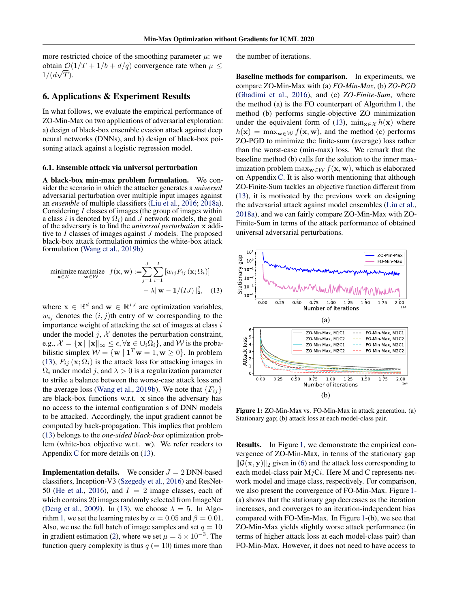<span id="page-6-0"></span>more restricted choice of the smoothing parameter  $\mu$ : we obtain  $\mathcal{O}(1/T + 1/b + d/q)$  convergence rate when  $\mu \leq$  $1/(d\sqrt{T}).$ 

#### 6. Applications & Experiment Results

In what follows, we evaluate the empirical performance of ZO-Min-Max on two applications of adversarial exploration: a) design of black-box ensemble evasion attack against deep neural networks (DNNs), and b) design of black-box poisoning attack against a logistic regression model.

#### 6.1. Ensemble attack via universal perturbation

A black-box min-max problem formulation. We consider the scenario in which the attacker generates a *universal* adversarial perturbation over multiple input images against an *ensemble* of multiple classifiers [\(Liu et al.,](#page-10-0) [2016;](#page-10-0) [2018a\)](#page-9-0). Considering  $I$  classes of images (the group of images within a class i is denoted by  $\Omega_i$ ) and J network models, the goal of the adversary is to find the *universal perturbation* x additive to I classes of images against J models. The proposed black-box attack formulation mimics the white-box attack formulation [\(Wang et al.,](#page-11-0) [2019b\)](#page-11-0)

$$
\begin{aligned}\n\underset{\mathbf{x} \in \mathcal{X}}{\text{minimize}} \quad & \underset{\mathbf{w} \in \mathcal{W}}{\text{maximize}} \quad f(\mathbf{x}, \mathbf{w}) := \sum_{j=1}^{J} \sum_{i=1}^{I} \left[ w_{ij} F_{ij} \left( \mathbf{x}; \Omega_i \right) \right] \\
&\quad - \lambda \|\mathbf{w} - \mathbf{1}/(IJ)\|_2^2, \quad (13)\n\end{aligned}
$$

where  $\mathbf{x} \in \mathbb{R}^d$  and  $\mathbf{w} \in \mathbb{R}^{IJ}$  are optimization variables,  $w_{ij}$  denotes the  $(i, j)$ th entry of w corresponding to the importance weight of attacking the set of images at class  $i$ under the model  $j$ ,  $\mathcal X$  denotes the perturbation constraint, e.g.,  $\mathcal{X} = {\mathbf{x} \mid ||\mathbf{x}||_{\infty} \le \epsilon}, \forall \mathbf{z} \in \cup_i \Omega_i}$ , and W is the probabilistic simplex  $W = \{ \mathbf{w} \mid \mathbf{1}^T \mathbf{w} = 1, \mathbf{w} \ge 0 \}$ . In problem (13),  $F_{ij}$  ( $\mathbf{x}; \Omega_i$ ) is the attack loss for attacking images in  $\Omega_i$  under model j, and  $\lambda > 0$  is a regularization parameter to strike a balance between the worse-case attack loss and the average loss [\(Wang et al.,](#page-11-0) [2019b\)](#page-11-0). We note that  ${F_{ij}}$ are black-box functions w.r.t. x since the adversary has no access to the internal configuration s of DNN models to be attacked. Accordingly, the input gradient cannot be computed by back-propagation. This implies that problem (13) belongs to the *one-sided black-box* optimization problem (white-box objective w.r.t. w). We refer readers to Appendix C for more details on (13).

**Implementation details.** We consider  $J = 2$  DNN-based classifiers, Inception-V3 [\(Szegedy et al.,](#page-10-0) [2016\)](#page-10-0) and ResNet-50 [\(He et al.,](#page-9-0) [2016\)](#page-9-0), and  $I = 2$  image classes, each of which contains 20 images randomly selected from ImageNet [\(Deng et al.,](#page-9-0) [2009\)](#page-9-0). In (13), we choose  $\lambda = 5$ . In Algo-rithm [1,](#page-3-0) we set the learning rates by  $\alpha = 0.05$  and  $\beta = 0.01$ . Also, we use the full batch of image samples and set  $q = 10$ in gradient estimation [\(2\)](#page-2-0), where we set  $\mu = 5 \times 10^{-3}$ . The function query complexity is thus  $q (= 10)$  times more than

the number of iterations.

Baseline methods for comparison. In experiments, we compare ZO-Min-Max with (a) *FO-Min-Max*, (b) *ZO-PGD* [\(Ghadimi et al.,](#page-9-0) [2016\)](#page-9-0), and (c) *ZO-Finite-Sum*, where the method (a) is the FO counterpart of Algorithm [1,](#page-3-0) the method (b) performs single-objective ZO minimization under the equivalent form of (13),  $\min_{\mathbf{x} \in \mathcal{X}} h(\mathbf{x})$  where  $h(\mathbf{x}) = \max_{\mathbf{w} \in \mathcal{W}} f(\mathbf{x}, \mathbf{w})$ , and the method (c) performs ZO-PGD to minimize the finite-sum (average) loss rather than the worst-case (min-max) loss. We remark that the baseline method (b) calls for the solution to the inner maximization problem  $\max_{\mathbf{w}\in\mathcal{W}} f(\mathbf{x}, \mathbf{w})$ , which is elaborated on AppendixC. It is also worth mentioning that although ZO-Finite-Sum tackles an objective function different from (13), it is motivated by the previous work on designing the adversarial attack against model ensembles [\(Liu et al.,](#page-9-0) [2018a\)](#page-9-0), and we can fairly compare ZO-Min-Max with ZO-Finite-Sum in terms of the attack performance of obtained universal adversarial perturbations.



Figure 1: ZO-Min-Max vs. FO-Min-Max in attack generation. (a) Stationary gap; (b) attack loss at each model-class pair.

Results. In Figure 1, we demonstrate the empirical convergence of ZO-Min-Max, in terms of the stationary gap  $\|\mathcal{G}(\mathbf{x}, \mathbf{y})\|_2$  given in [\(6\)](#page-4-0) and the attack loss corresponding to each model-class pair  $MjCi$ . Here M and C represents network model and image class, respectively. For comparison, we also present the convergence of FO-Min-Max. Figure 1- (a) shows that the stationary gap decreases as the iteration increases, and converges to an iteration-independent bias compared with FO-Min-Max. In Figure 1-(b), we see that ZO-Min-Max yields slightly worse attack performance (in terms of higher attack loss at each model-class pair) than FO-Min-Max. However, it does not need to have access to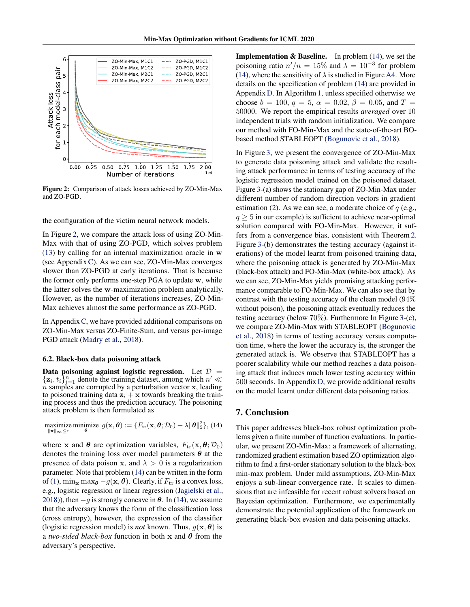<span id="page-7-0"></span>

Figure 2: Comparison of attack losses achieved by ZO-Min-Max and ZO-PGD.

the configuration of the victim neural network models.

In Figure 2, we compare the attack loss of using ZO-Min-Max with that of using ZO-PGD, which solves problem [\(13\)](#page-6-0) by calling for an internal maximization oracle in w (see AppendixC). As we can see, ZO-Min-Max converges slower than ZO-PGD at early iterations. That is because the former only performs one-step PGA to update w, while the latter solves the w-maximization problem analytically. However, as the number of iterations increases, ZO-Min-Max achieves almost the same performance as ZO-PGD.

In Appendix C, we have provided additional comparisons on ZO-Min-Max versus ZO-Finite-Sum, and versus per-image PGD attack [\(Madry et al.,](#page-10-0) [2018\)](#page-10-0).

#### 6.2. Black-box data poisoning attack

Data poisoning against logistic regression. Let  $\mathcal{D} =$  $\{\mathbf z_i, t_i\}_{i=1}^n$  denote the training dataset, among which  $n' \ll$  $\hat{n}$  samples are corrupted by a perturbation vector x, leading to poisoned training data  $z_i + x$  towards breaking the training process and thus the prediction accuracy. The poisoning attack problem is then formulated as

maximize minimize  $g(\mathbf{x}, \boldsymbol{\theta}) := \{F_{\text{tr}}(\mathbf{x}, \boldsymbol{\theta}; \mathcal{D}_0) + \lambda \|\boldsymbol{\theta}\|_2^2\},$  (14) kxk∞≤

where x and  $\theta$  are optimization variables,  $F_{tr}(\mathbf{x}, \theta; \mathcal{D}_0)$ denotes the training loss over model parameters  $\theta$  at the presence of data poison x, and  $\lambda > 0$  is a regularization parameter. Note that problem (14) can be written in the form of [\(1\)](#page-2-0),  $\min_{\mathbf{x}} \max_{\theta} -g(\mathbf{x}, \theta)$ . Clearly, if  $F_{tr}$  is a convex loss, e.g., logistic regression or linear regression [\(Jagielski et al.,](#page-9-0) [2018\)](#page-9-0)), then  $-g$  is strongly concave in  $\theta$ . In (14), we assume that the adversary knows the form of the classification loss (cross entropy), however, the expression of the classifier (logistic regression model) is *not* known. Thus,  $g(\mathbf{x}, \boldsymbol{\theta})$  is a *two-sided black-box* function in both x and  $\theta$  from the adversary's perspective.

**Implementation & Baseline.** In problem  $(14)$ , we set the poisoning ratio  $n'/n = 15\%$  and  $\lambda = 10^{-3}$  for problem (14), where the sensitivity of  $\lambda$  is studied in Figure A4. More details on the specification of problem (14) are provided in Appendix D. In Algorithm [1,](#page-3-0) unless specified otherwise we choose  $b = 100$ ,  $q = 5$ ,  $\alpha = 0.02$ ,  $\beta = 0.05$ , and  $T =$ 50000. We report the empirical results *averaged* over 10 independent trials with random initialization. We compare our method with FO-Min-Max and the state-of-the-art BObased method STABLEOPT [\(Bogunovic et al.,](#page-8-0) [2018\)](#page-8-0).

In Figure [3,](#page-8-0) we present the convergence of ZO-Min-Max to generate data poisoning attack and validate the resulting attack performance in terms of testing accuracy of the logistic regression model trained on the poisoned dataset. Figure [3-](#page-8-0)(a) shows the stationary gap of ZO-Min-Max under different number of random direction vectors in gradient estimation [\(2\)](#page-2-0). As we can see, a moderate choice of  $q$  (e.g.,  $q \geq 5$  in our example) is sufficient to achieve near-optimal solution compared with FO-Min-Max. However, it suffers from a convergence bias, consistent with Theorem [2.](#page-5-0) Figure [3-](#page-8-0)(b) demonstrates the testing accuracy (against iterations) of the model learnt from poisoned training data, where the poisoning attack is generated by ZO-Min-Max (black-box attack) and FO-Min-Max (white-box attack). As we can see, ZO-Min-Max yields promising attacking performance comparable to FO-Min-Max. We can also see that by contrast with the testing accuracy of the clean model (94% without poison), the poisoning attack eventually reduces the testing accuracy (below 70%). Furthermore In Figure [3-](#page-8-0)(c), we compare ZO-Min-Max with STABLEOPT [\(Bogunovic](#page-8-0) [et al.,](#page-8-0) [2018\)](#page-8-0) in terms of testing accuracy versus computation time, where the lower the accuracy is, the stronger the generated attack is. We observe that STABLEOPT has a poorer scalability while our method reaches a data poisoning attack that induces much lower testing accuracy within 500 seconds. In Appendix D, we provide additional results on the model learnt under different data poisoning ratios.

#### 7. Conclusion

This paper addresses black-box robust optimization problems given a finite number of function evaluations. In particular, we present ZO-Min-Max: a framework of alternating, randomized gradient estimation based ZO optimization algorithm to find a first-order stationary solution to the black-box min-max problem. Under mild assumptions, ZO-Min-Max enjoys a sub-linear convergence rate. It scales to dimensions that are infeasible for recent robust solvers based on Bayesian optimization. Furthermore, we experimentally demonstrate the potential application of the framework on generating black-box evasion and data poisoning attacks.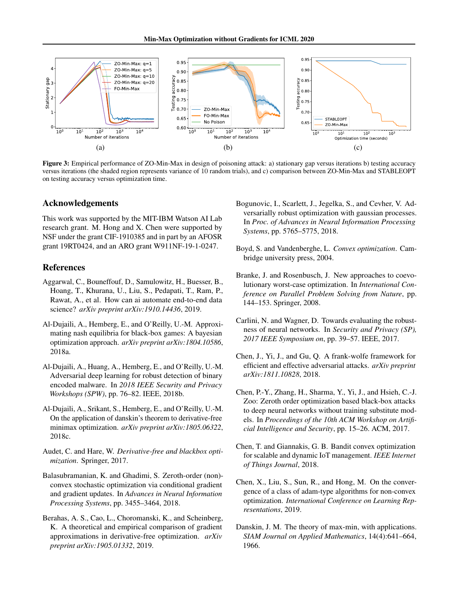<span id="page-8-0"></span>

Figure 3: Empirical performance of ZO-Min-Max in design of poisoning attack: a) stationary gap versus iterations b) testing accuracy versus iterations (the shaded region represents variance of 10 random trials), and c) comparison between ZO-Min-Max and STABLEOPT on testing accuracy versus optimization time.

#### Acknowledgements

This work was supported by the MIT-IBM Watson AI Lab research grant. M. Hong and X. Chen were supported by NSF under the grant CIF-1910385 and in part by an AFOSR grant 19RT0424, and an ARO grant W911NF-19-1-0247.

## References

- Aggarwal, C., Bouneffouf, D., Samulowitz, H., Buesser, B., Hoang, T., Khurana, U., Liu, S., Pedapati, T., Ram, P., Rawat, A., et al. How can ai automate end-to-end data science? *arXiv preprint arXiv:1910.14436*, 2019.
- Al-Dujaili, A., Hemberg, E., and O'Reilly, U.-M. Approximating nash equilibria for black-box games: A bayesian optimization approach. *arXiv preprint arXiv:1804.10586*, 2018a.
- Al-Dujaili, A., Huang, A., Hemberg, E., and O'Reilly, U.-M. Adversarial deep learning for robust detection of binary encoded malware. In *2018 IEEE Security and Privacy Workshops (SPW)*, pp. 76–82. IEEE, 2018b.
- Al-Dujaili, A., Srikant, S., Hemberg, E., and O'Reilly, U.-M. On the application of danskin's theorem to derivative-free minimax optimization. *arXiv preprint arXiv:1805.06322*, 2018c.
- Audet, C. and Hare, W. *Derivative-free and blackbox optimization*. Springer, 2017.
- Balasubramanian, K. and Ghadimi, S. Zeroth-order (non) convex stochastic optimization via conditional gradient and gradient updates. In *Advances in Neural Information Processing Systems*, pp. 3455–3464, 2018.
- Berahas, A. S., Cao, L., Choromanski, K., and Scheinberg, K. A theoretical and empirical comparison of gradient approximations in derivative-free optimization. *arXiv preprint arXiv:1905.01332*, 2019.
- Bogunovic, I., Scarlett, J., Jegelka, S., and Cevher, V. Adversarially robust optimization with gaussian processes. In *Proc. of Advances in Neural Information Processing Systems*, pp. 5765–5775, 2018.
- Boyd, S. and Vandenberghe, L. *Convex optimization*. Cambridge university press, 2004.
- Branke, J. and Rosenbusch, J. New approaches to coevolutionary worst-case optimization. In *International Conference on Parallel Problem Solving from Nature*, pp. 144–153. Springer, 2008.
- Carlini, N. and Wagner, D. Towards evaluating the robustness of neural networks. In *Security and Privacy (SP), 2017 IEEE Symposium on*, pp. 39–57. IEEE, 2017.
- Chen, J., Yi, J., and Gu, Q. A frank-wolfe framework for efficient and effective adversarial attacks. *arXiv preprint arXiv:1811.10828*, 2018.
- Chen, P.-Y., Zhang, H., Sharma, Y., Yi, J., and Hsieh, C.-J. Zoo: Zeroth order optimization based black-box attacks to deep neural networks without training substitute models. In *Proceedings of the 10th ACM Workshop on Artificial Intelligence and Security*, pp. 15–26. ACM, 2017.
- Chen, T. and Giannakis, G. B. Bandit convex optimization for scalable and dynamic IoT management. *IEEE Internet of Things Journal*, 2018.
- Chen, X., Liu, S., Sun, R., and Hong, M. On the convergence of a class of adam-type algorithms for non-convex optimization. *International Conference on Learning Representations*, 2019.
- Danskin, J. M. The theory of max-min, with applications. *SIAM Journal on Applied Mathematics*, 14(4):641–664, 1966.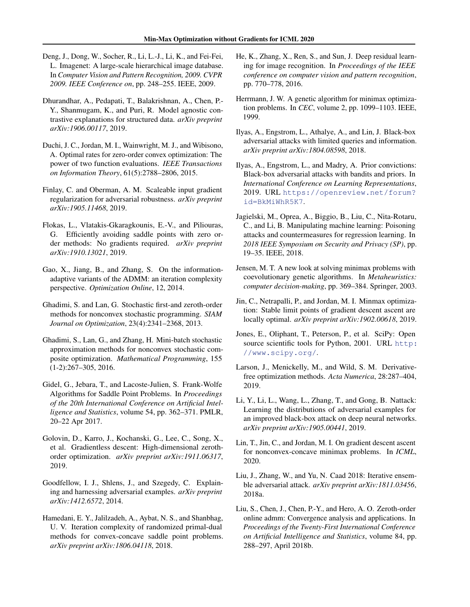- <span id="page-9-0"></span>Deng, J., Dong, W., Socher, R., Li, L.-J., Li, K., and Fei-Fei, L. Imagenet: A large-scale hierarchical image database. In *Computer Vision and Pattern Recognition, 2009. CVPR 2009. IEEE Conference on*, pp. 248–255. IEEE, 2009.
- Dhurandhar, A., Pedapati, T., Balakrishnan, A., Chen, P.- Y., Shanmugam, K., and Puri, R. Model agnostic contrastive explanations for structured data. *arXiv preprint arXiv:1906.00117*, 2019.
- Duchi, J. C., Jordan, M. I., Wainwright, M. J., and Wibisono, A. Optimal rates for zero-order convex optimization: The power of two function evaluations. *IEEE Transactions on Information Theory*, 61(5):2788–2806, 2015.
- Finlay, C. and Oberman, A. M. Scaleable input gradient regularization for adversarial robustness. *arXiv preprint arXiv:1905.11468*, 2019.
- Flokas, L., Vlatakis-Gkaragkounis, E.-V., and Piliouras, G. Efficiently avoiding saddle points with zero order methods: No gradients required. *arXiv preprint arXiv:1910.13021*, 2019.
- Gao, X., Jiang, B., and Zhang, S. On the informationadaptive variants of the ADMM: an iteration complexity perspective. *Optimization Online*, 12, 2014.
- Ghadimi, S. and Lan, G. Stochastic first-and zeroth-order methods for nonconvex stochastic programming. *SIAM Journal on Optimization*, 23(4):2341–2368, 2013.
- Ghadimi, S., Lan, G., and Zhang, H. Mini-batch stochastic approximation methods for nonconvex stochastic composite optimization. *Mathematical Programming*, 155 (1-2):267–305, 2016.
- Gidel, G., Jebara, T., and Lacoste-Julien, S. Frank-Wolfe Algorithms for Saddle Point Problems. In *Proceedings of the 20th International Conference on Artificial Intelligence and Statistics*, volume 54, pp. 362–371. PMLR, 20–22 Apr 2017.
- Golovin, D., Karro, J., Kochanski, G., Lee, C., Song, X., et al. Gradientless descent: High-dimensional zerothorder optimization. *arXiv preprint arXiv:1911.06317*, 2019.
- Goodfellow, I. J., Shlens, J., and Szegedy, C. Explaining and harnessing adversarial examples. *arXiv preprint arXiv:1412.6572*, 2014.
- Hamedani, E. Y., Jalilzadeh, A., Aybat, N. S., and Shanbhag, U. V. Iteration complexity of randomized primal-dual methods for convex-concave saddle point problems. *arXiv preprint arXiv:1806.04118*, 2018.
- He, K., Zhang, X., Ren, S., and Sun, J. Deep residual learning for image recognition. In *Proceedings of the IEEE conference on computer vision and pattern recognition*, pp. 770–778, 2016.
- Herrmann, J. W. A genetic algorithm for minimax optimization problems. In *CEC*, volume 2, pp. 1099–1103. IEEE, 1999.
- Ilyas, A., Engstrom, L., Athalye, A., and Lin, J. Black-box adversarial attacks with limited queries and information. *arXiv preprint arXiv:1804.08598*, 2018.
- Ilyas, A., Engstrom, L., and Madry, A. Prior convictions: Black-box adversarial attacks with bandits and priors. In *International Conference on Learning Representations*, 2019. URL [https://openreview.net/forum?](https://openreview.net/forum?id=BkMiWhR5K7) [id=BkMiWhR5K7](https://openreview.net/forum?id=BkMiWhR5K7).
- Jagielski, M., Oprea, A., Biggio, B., Liu, C., Nita-Rotaru, C., and Li, B. Manipulating machine learning: Poisoning attacks and countermeasures for regression learning. In *2018 IEEE Symposium on Security and Privacy (SP)*, pp. 19–35. IEEE, 2018.
- Jensen, M. T. A new look at solving minimax problems with coevolutionary genetic algorithms. In *Metaheuristics: computer decision-making*, pp. 369–384. Springer, 2003.
- Jin, C., Netrapalli, P., and Jordan, M. I. Minmax optimization: Stable limit points of gradient descent ascent are locally optimal. *arXiv preprint arXiv:1902.00618*, 2019.
- Jones, E., Oliphant, T., Peterson, P., et al. SciPy: Open source scientific tools for Python, 2001. URL [http:](http://www.scipy.org/) [//www.scipy.org/](http://www.scipy.org/).
- Larson, J., Menickelly, M., and Wild, S. M. Derivativefree optimization methods. *Acta Numerica*, 28:287–404, 2019.
- Li, Y., Li, L., Wang, L., Zhang, T., and Gong, B. Nattack: Learning the distributions of adversarial examples for an improved black-box attack on deep neural networks. *arXiv preprint arXiv:1905.00441*, 2019.
- Lin, T., Jin, C., and Jordan, M. I. On gradient descent ascent for nonconvex-concave minimax problems. In *ICML*, 2020.
- Liu, J., Zhang, W., and Yu, N. Caad 2018: Iterative ensemble adversarial attack. *arXiv preprint arXiv:1811.03456*, 2018a.
- Liu, S., Chen, J., Chen, P.-Y., and Hero, A. O. Zeroth-order online admm: Convergence analysis and applications. In *Proceedings of the Twenty-First International Conference on Artificial Intelligence and Statistics*, volume 84, pp. 288–297, April 2018b.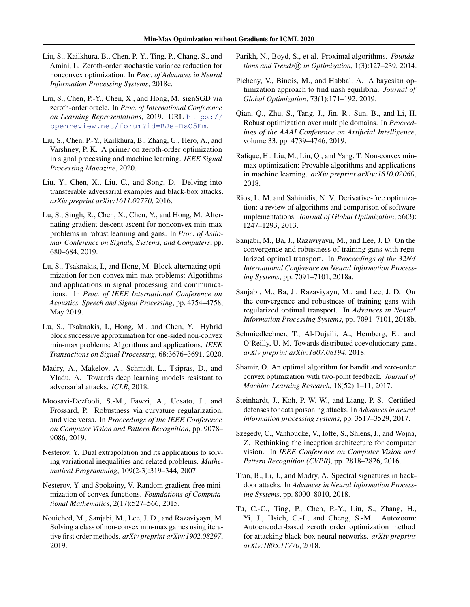- <span id="page-10-0"></span>Liu, S., Kailkhura, B., Chen, P.-Y., Ting, P., Chang, S., and Amini, L. Zeroth-order stochastic variance reduction for nonconvex optimization. In *Proc. of Advances in Neural Information Processing Systems*, 2018c.
- Liu, S., Chen, P.-Y., Chen, X., and Hong, M. signSGD via zeroth-order oracle. In *Proc. of International Conference on Learning Representations*, 2019. URL [https://](https://openreview.net/forum?id=BJe-DsC5Fm) [openreview.net/forum?id=BJe-DsC5Fm](https://openreview.net/forum?id=BJe-DsC5Fm).
- Liu, S., Chen, P.-Y., Kailkhura, B., Zhang, G., Hero, A., and Varshney, P. K. A primer on zeroth-order optimization in signal processing and machine learning. *IEEE Signal Processing Magazine*, 2020.
- Liu, Y., Chen, X., Liu, C., and Song, D. Delving into transferable adversarial examples and black-box attacks. *arXiv preprint arXiv:1611.02770*, 2016.
- Lu, S., Singh, R., Chen, X., Chen, Y., and Hong, M. Alternating gradient descent ascent for nonconvex min-max problems in robust learning and gans. In *Proc. of Asilomar Conference on Signals, Systems, and Computers*, pp. 680–684, 2019.
- Lu, S., Tsaknakis, I., and Hong, M. Block alternating optimization for non-convex min-max problems: Algorithms and applications in signal processing and communications. In *Proc. of IEEE International Conference on Acoustics, Speech and Signal Processing*, pp. 4754–4758, May 2019.
- Lu, S., Tsaknakis, I., Hong, M., and Chen, Y. Hybrid block successive approximation for one-sided non-convex min-max problems: Algorithms and applications. *IEEE Transactions on Signal Processing*, 68:3676–3691, 2020.
- Madry, A., Makelov, A., Schmidt, L., Tsipras, D., and Vladu, A. Towards deep learning models resistant to adversarial attacks. *ICLR*, 2018.
- Moosavi-Dezfooli, S.-M., Fawzi, A., Uesato, J., and Frossard, P. Robustness via curvature regularization, and vice versa. In *Proceedings of the IEEE Conference on Computer Vision and Pattern Recognition*, pp. 9078– 9086, 2019.
- Nesterov, Y. Dual extrapolation and its applications to solving variational inequalities and related problems. *Mathematical Programming*, 109(2-3):319–344, 2007.
- Nesterov, Y. and Spokoiny, V. Random gradient-free minimization of convex functions. *Foundations of Computational Mathematics*, 2(17):527–566, 2015.
- Nouiehed, M., Sanjabi, M., Lee, J. D., and Razaviyayn, M. Solving a class of non-convex min-max games using iterative first order methods. *arXiv preprint arXiv:1902.08297*, 2019.
- Parikh, N., Boyd, S., et al. Proximal algorithms. *Foundations and Trends* <sup>R</sup> *in Optimization*, 1(3):127–239, 2014.
- Picheny, V., Binois, M., and Habbal, A. A bayesian optimization approach to find nash equilibria. *Journal of Global Optimization*, 73(1):171–192, 2019.
- Qian, Q., Zhu, S., Tang, J., Jin, R., Sun, B., and Li, H. Robust optimization over multiple domains. In *Proceedings of the AAAI Conference on Artificial Intelligence*, volume 33, pp. 4739–4746, 2019.
- Rafique, H., Liu, M., Lin, Q., and Yang, T. Non-convex minmax optimization: Provable algorithms and applications in machine learning. *arXiv preprint arXiv:1810.02060*, 2018.
- Rios, L. M. and Sahinidis, N. V. Derivative-free optimization: a review of algorithms and comparison of software implementations. *Journal of Global Optimization*, 56(3): 1247–1293, 2013.
- Sanjabi, M., Ba, J., Razaviyayn, M., and Lee, J. D. On the convergence and robustness of training gans with regularized optimal transport. In *Proceedings of the 32Nd International Conference on Neural Information Processing Systems*, pp. 7091–7101, 2018a.
- Sanjabi, M., Ba, J., Razaviyayn, M., and Lee, J. D. On the convergence and robustness of training gans with regularized optimal transport. In *Advances in Neural Information Processing Systems*, pp. 7091–7101, 2018b.
- Schmiedlechner, T., Al-Dujaili, A., Hemberg, E., and O'Reilly, U.-M. Towards distributed coevolutionary gans. *arXiv preprint arXiv:1807.08194*, 2018.
- Shamir, O. An optimal algorithm for bandit and zero-order convex optimization with two-point feedback. *Journal of Machine Learning Research*, 18(52):1–11, 2017.
- Steinhardt, J., Koh, P. W. W., and Liang, P. S. Certified defenses for data poisoning attacks. In *Advances in neural information processing systems*, pp. 3517–3529, 2017.
- Szegedy, C., Vanhoucke, V., Ioffe, S., Shlens, J., and Wojna, Z. Rethinking the inception architecture for computer vision. In *IEEE Conference on Computer Vision and Pattern Recognition (CVPR)*, pp. 2818–2826, 2016.
- Tran, B., Li, J., and Madry, A. Spectral signatures in backdoor attacks. In *Advances in Neural Information Processing Systems*, pp. 8000–8010, 2018.
- Tu, C.-C., Ting, P., Chen, P.-Y., Liu, S., Zhang, H., Yi, J., Hsieh, C.-J., and Cheng, S.-M. Autozoom: Autoencoder-based zeroth order optimization method for attacking black-box neural networks. *arXiv preprint arXiv:1805.11770*, 2018.